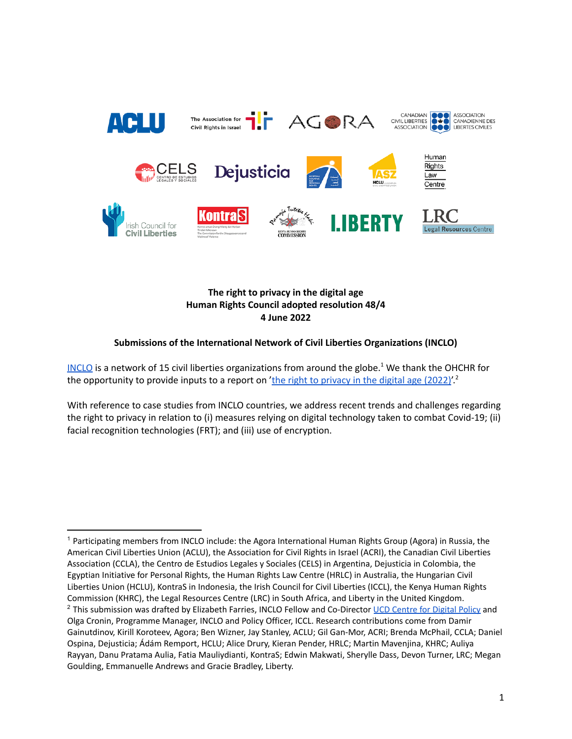

**The right to privacy in the digital age Human Rights Council adopted resolution 48/4 4 June 2022**

## **Submissions of the International Network of Civil Liberties Organizations (INCLO)**

[INCLO](https://www.inclo.net/) is a network of 15 civil liberties organizations from around the globe.<sup>1</sup> We thank the OHCHR for the opportunity to provide inputs to a report on '<u>the right to [privacy](https://www.ohchr.org/en/calls-for-input/calls-input/call-inputs-report-right-privacy-digital-age-2022) in the digital age (2022)</u>'.<sup>2</sup>

With reference to case studies from INCLO countries, we address recent trends and challenges regarding the right to privacy in relation to (i) measures relying on digital technology taken to combat Covid-19; (ii) facial recognition technologies (FRT); and (iii) use of encryption.

<sup>&</sup>lt;sup>2</sup> This submission was drafted by Elizabeth Farries, INCLO Fellow and Co-Director UCD [Centre](https://digitalpolicy.ie/) for Digital Policy and Olga Cronin, Programme Manager, INCLO and Policy Officer, ICCL. Research contributions come from Damir Gainutdinov, Kirill Koroteev, Agora; Ben Wizner, Jay Stanley, ACLU; Gil Gan-Mor, ACRI; Brenda McPhail, CCLA; Daniel Ospina, Dejusticia; Ádám Remport, HCLU; Alice Drury, Kieran Pender, HRLC; Martin Mavenjina, KHRC; Auliya Rayyan, Danu Pratama Aulia, Fatia Mauliydianti, KontraS; Edwin Makwati, Sherylle Dass, Devon Turner, LRC; Megan Goulding, Emmanuelle Andrews and Gracie Bradley, Liberty. <sup>1</sup> Participating members from INCLO include: the Agora International Human Rights Group (Agora) in Russia, the American Civil Liberties Union (ACLU), the Association for Civil Rights in Israel (ACRI), the Canadian Civil Liberties Association (CCLA), the Centro de Estudios Legales y Sociales (CELS) in Argentina, Dejusticia in Colombia, the Egyptian Initiative for Personal Rights, the Human Rights Law Centre (HRLC) in Australia, the Hungarian Civil Liberties Union (HCLU), KontraS in Indonesia, the Irish Council for Civil Liberties (ICCL), the Kenya Human Rights Commission (KHRC), the Legal Resources Centre (LRC) in South Africa, and Liberty in the United Kingdom.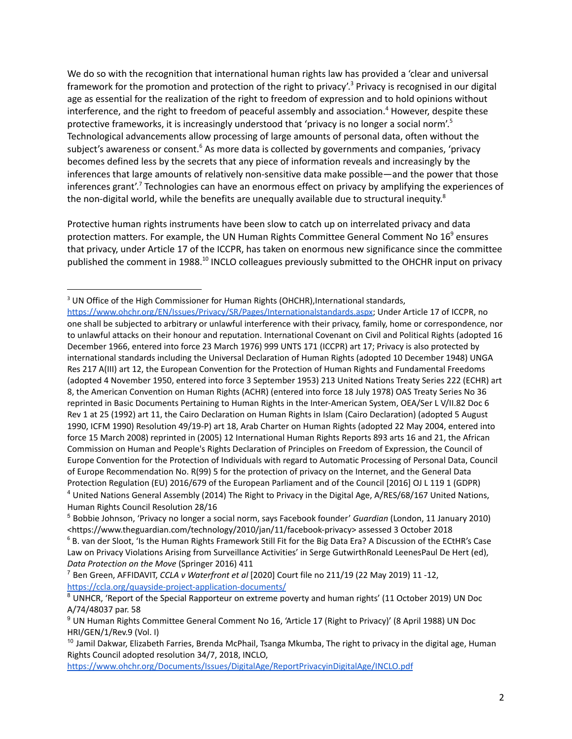We do so with the recognition that international human rights law has provided a 'clear and universal framework for the promotion and protection of the right to privacy'.<sup>3</sup> Privacy is recognised in our digital age as essential for the realization of the right to freedom of expression and to hold opinions without interference, and the right to freedom of peaceful assembly and association. <sup>4</sup> However, despite these protective frameworks, it is increasingly understood that 'privacy is no longer a social norm'.<sup>5</sup> Technological advancements allow processing of large amounts of personal data, often without the subject's awareness or consent.<sup>6</sup> As more data is collected by governments and companies, 'privacy becomes defined less by the secrets that any piece of information reveals and increasingly by the inferences that large amounts of relatively non-sensitive data make possible—and the power that those inferences grant'.<sup>7</sup> Technologies can have an enormous effect on privacy by amplifying the experiences of the non-digital world, while the benefits are unequally available due to structural inequity.<sup>8</sup>

Protective human rights instruments have been slow to catch up on interrelated privacy and data protection matters. For example, the UN Human Rights Committee General Comment No 16<sup>9</sup> ensures that privacy, under Article 17 of the ICCPR, has taken on enormous new significance since the committee published the comment in 1988.<sup>10</sup> INCLO colleagues previously submitted to the OHCHR input on privacy

<sup>3</sup> UN Office of the High Commissioner for Human Rights (OHCHR), International standards,

<sup>4</sup> United Nations General Assembly (2014) The Right to Privacy in the Digital Age, A/RES/68/167 United Nations, Human Rights Council Resolution 28/16 <https://www.ohchr.org/EN/Issues/Privacy/SR/Pages/Internationalstandards.aspx>; Under Article 17 of ICCPR, no one shall be subjected to arbitrary or unlawful interference with their privacy, family, home or correspondence, nor to unlawful attacks on their honour and reputation. International Covenant on Civil and Political Rights (adopted 16 December 1966, entered into force 23 March 1976) 999 UNTS 171 (ICCPR) art 17; Privacy is also protected by international standards including the Universal Declaration of Human Rights (adopted 10 December 1948) UNGA Res 217 A(III) art 12, the European Convention for the Protection of Human Rights and Fundamental Freedoms (adopted 4 November 1950, entered into force 3 September 1953) 213 United Nations Treaty Series 222 (ECHR) art 8, the American Convention on Human Rights (ACHR) (entered into force 18 July 1978) OAS Treaty Series No 36 reprinted in Basic Documents Pertaining to Human Rights in the Inter-American System, OEA/Ser L V/II.82 Doc 6 Rev 1 at 25 (1992) art 11, the Cairo Declaration on Human Rights in Islam (Cairo Declaration) (adopted 5 August 1990, ICFM 1990) Resolution 49/19-P) art 18, Arab Charter on Human Rights (adopted 22 May 2004, entered into force 15 March 2008) reprinted in (2005) 12 International Human Rights Reports 893 arts 16 and 21, the African Commission on Human and People's Rights Declaration of Principles on Freedom of Expression, the Council of Europe Convention for the Protection of Individuals with regard to Automatic Processing of Personal Data, Council of Europe Recommendation No. R(99) 5 for the protection of privacy on the Internet, and the General Data Protection Regulation (EU) 2016/679 of the European Parliament and of the Council [2016] OJ L 119 1 (GDPR)

<sup>5</sup> Bobbie Johnson, 'Privacy no longer a social norm, says Facebook founder' *Guardian* (London, 11 January 2010) <https://www.theguardian.com/technology/2010/jan/11/facebook-privacy> assessed 3 October 2018

<sup>&</sup>lt;sup>6</sup> B. van der Sloot, 'Is the Human Rights Framework Still Fit for the Big Data Era? A Discussion of the ECtHR's Case Law on Privacy Violations Arising from Surveillance Activities' in Serge GutwirthRonald LeenesPaul De Hert (ed), *Data Protection on the Move* (Springer 2016) 411

<sup>7</sup> Ben Green, AFFIDAVIT, *CCLA v Waterfront et al* [2020] Court file no 211/19 (22 May 2019) 11 -12, <https://ccla.org/quayside-project-application-documents/>

<sup>&</sup>lt;sup>8</sup> UNHCR, 'Report of the Special Rapporteur on extreme poverty and human rights' (11 October 2019) UN Doc A/74/48037 par. 58

<sup>&</sup>lt;sup>9</sup> UN Human Rights Committee General Comment No 16, 'Article 17 (Right to Privacy)' (8 April 1988) UN Doc HRI/GEN/1/Rev.9 (Vol. I)

<sup>&</sup>lt;sup>10</sup> Jamil Dakwar, Elizabeth Farries, Brenda McPhail, Tsanga Mkumba, The right to privacy in the digital age, Human Rights Council adopted resolution 34/7, 2018, INCLO,

<https://www.ohchr.org/Documents/Issues/DigitalAge/ReportPrivacyinDigitalAge/INCLO.pdf>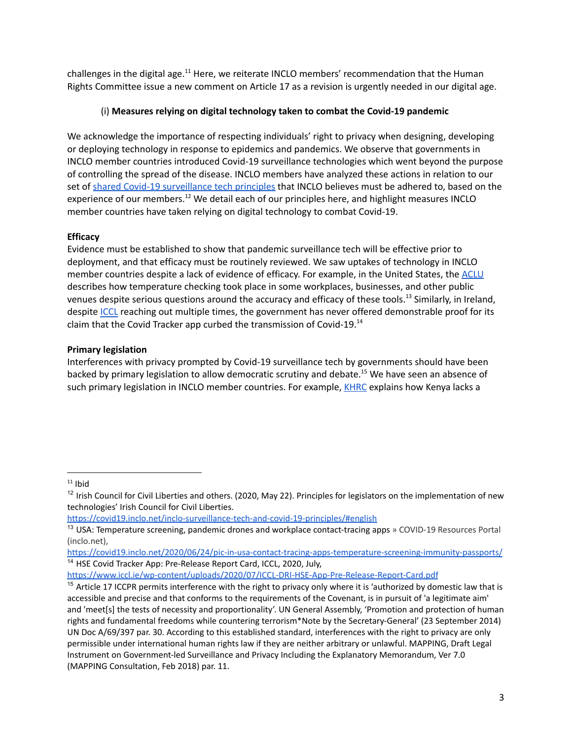challenges in the digital age.<sup>11</sup> Here, we reiterate INCLO members' recommendation that the Human Rights Committee issue a new comment on Article 17 as a revision is urgently needed in our digital age.

## (i) **Measures relying on digital technology taken to combat the Covid-19 pandemic**

We acknowledge the importance of respecting individuals' right to privacy when designing, developing or deploying technology in response to epidemics and pandemics. We observe that governments in INCLO member countries introduced Covid-19 surveillance technologies which went beyond the purpose of controlling the spread of the disease. INCLO members have analyzed these actions in relation to our set of shared Covid-19 [surveillance](https://covid19.inclo.net/inclo-surveillance-tech-and-covid-19-principles/#english) tech principles that INCLO believes must be adhered to, based on the experience of our members.<sup>12</sup> We detail each of our principles here, and highlight measures INCLO member countries have taken relying on digital technology to combat Covid-19.

# **Efficacy**

Evidence must be established to show that pandemic surveillance tech will be effective prior to deployment, and that efficacy must be routinely reviewed. We saw uptakes of technology in INCLO member countries despite a lack of evidence of efficacy. For example, in the United States, the [ACLU](http://www.aclu.org) describes how temperature checking took place in some workplaces, businesses, and other public venues despite serious questions around the accuracy and efficacy of these tools.<sup>13</sup> Similarly, in Ireland, despite [ICCL](https://www.businesspost.ie/news/hse-yet-to-complete-report-on-effectiveness-of-covid-tracker-app/) reaching out multiple times, the government has never offered demonstrable proof for its claim that the Covid Tracker app curbed the transmission of Covid-19.<sup>14</sup>

# **Primary legislation**

Interferences with privacy prompted by Covid-19 surveillance tech by governments should have been backed by primary legislation to allow democratic scrutiny and debate. <sup>15</sup> We have seen an absence of such primary legislation in INCLO member countries. For example, [KHRC](https://www.khrc.or.ke/) explains how Kenya lacks a

 $11$  Ibid

<sup>&</sup>lt;sup>12</sup> Irish Council for Civil Liberties and others. (2020, May 22). Principles for legislators on the implementation of new technologies' Irish Council for Civil Liberties.

<https://covid19.inclo.net/inclo-surveillance-tech-and-covid-19-principles/#english>

<sup>&</sup>lt;sup>13</sup> USA: Temperature screening, pandemic drones and workplace contact-tracing apps » COVID-19 Resources Portal (inclo.net),

<sup>&</sup>lt;sup>14</sup> HSE Covid Tracker App: Pre-Release Report Card, ICCL, 2020, July, <https://covid19.inclo.net/2020/06/24/pic-in-usa-contact-tracing-apps-temperature-screening-immunity-passports/>

<https://www.iccl.ie/wp-content/uploads/2020/07/ICCL-DRI-HSE-App-Pre-Release-Report-Card.pdf>

 $15$  Article 17 ICCPR permits interference with the right to privacy only where it is 'authorized by domestic law that is accessible and precise and that conforms to the requirements of the Covenant, is in pursuit of 'a legitimate aim' and 'meet[s] the tests of necessity and proportionality'. UN General Assembly, 'Promotion and protection of human rights and fundamental freedoms while countering terrorism\*Note by the Secretary-General' (23 September 2014) UN Doc A/69/397 par. 30. According to this established standard, interferences with the right to privacy are only permissible under international human rights law if they are neither arbitrary or unlawful. MAPPING, Draft Legal Instrument on Government-led Surveillance and Privacy Including the Explanatory Memorandum, Ver 7.0 (MAPPING Consultation, Feb 2018) par. 11.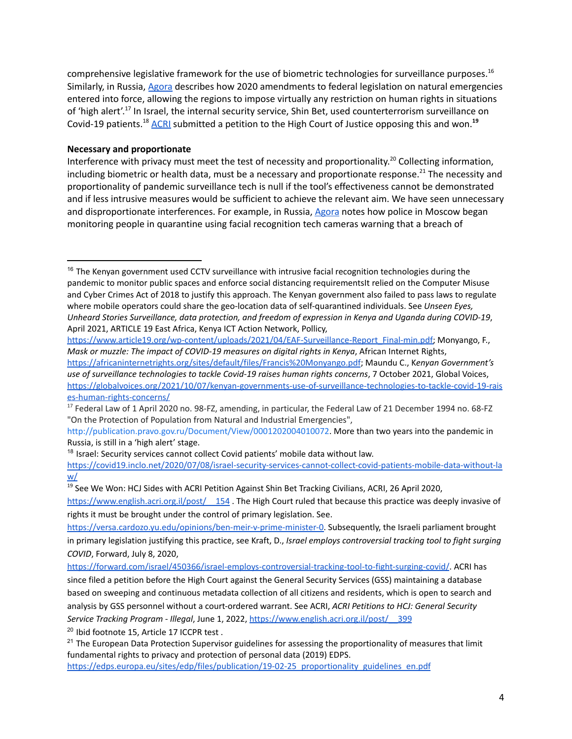comprehensive legislative framework for the use of biometric technologies for surveillance purposes. 16 Similarly, in Russia, [Agora](http://en.agora.legal/) describes how 2020 amendments to federal legislation on natural emergencies entered into force, allowing the regions to impose virtually any restriction on human rights in situations of 'high alert'.<sup>17</sup> In Israel, the internal security service, Shin Bet, used counterterrorism surveillance on Covid-19 patients.<sup>18</sup> [ACRI](http://en.agora.legal/) submitted a petition to the High Court of Justice opposing this and won.<sup>19</sup>

#### **Necessary and proportionate**

Interference with privacy must meet the test of necessity and proportionality.<sup>20</sup> Collecting information, including biometric or health data, must be a necessary and proportionate response.<sup>21</sup> The necessity and proportionality of pandemic surveillance tech is null if the tool's effectiveness cannot be demonstrated and if less intrusive measures would be sufficient to achieve the relevant aim. We have seen unnecessary and disproportionate interferences. For example, in Russia, [Agora](http://en.agora.legal/) notes how police in Moscow began monitoring people in quarantine using facial recognition tech cameras warning that a breach of

[http://publication.pravo.gov.ru/Document/View/0001202004010072.](http://publication.pravo.gov.ru/Document/View/0001202004010072) More than two years into the pandemic in Russia, is still in a 'high alert' stage.

<sup>18</sup> Israel: Security services cannot collect Covid patients' mobile data without law.

[https://covid19.inclo.net/2020/07/08/israel-security-services-cannot-collect-covid-patients-mobile-data-without-la](https://covid19.inclo.net/2020/07/08/israel-security-services-cannot-collect-covid-patients-mobile-data-without-law/) [w/](https://covid19.inclo.net/2020/07/08/israel-security-services-cannot-collect-covid-patients-mobile-data-without-law/)

<sup>19</sup> See We Won: HCJ Sides with ACRI Petition Against Shin Bet Tracking Civilians, ACRI, 26 April 2020,

https://www.english.acri.org.il/post/ 154. The High Court ruled that because this practice was deeply invasive of rights it must be brought under the control of primary legislation. See.

[https://versa.cardozo.yu.edu/opinions/ben-meir-v-prime-minister-0.](https://versa.cardozo.yu.edu/opinions/ben-meir-v-prime-minister-0) Subsequently, the Israeli parliament brought in primary legislation justifying this practice, see Kraft, D., *Israel employs controversial tracking tool to fight surging COVID*, Forward, July 8, 2020,

<sup>20</sup> Ibid footnote 15, Article 17 ICCPR test.

<sup>&</sup>lt;sup>16</sup> The Kenyan government used CCTV surveillance with intrusive facial recognition technologies during the pandemic to monitor public spaces and enforce social distancing requirementsIt relied on the Computer Misuse and Cyber Crimes Act of 2018 to justify this approach. The Kenyan government also failed to pass laws to regulate where mobile operators could share the geo-location data of self-quarantined individuals. See *Unseen Eyes, Unheard Stories Surveillance, data protection, and freedom of expression in Kenya and Uganda during COVID-19*, April 2021, ARTICLE 19 East Africa, Kenya ICT Action Network, Pollicy,

[https://www.article19.org/wp-content/uploads/2021/04/EAF-Surveillance-Report\\_Final-min.pdf;](https://www.article19.org/wp-content/uploads/2021/04/EAF-Surveillance-Report_Final-min.pdf) Monyango, F., *Mask or muzzle: The impact of COVID-19 measures on digital rights in Kenya*, African Internet Rights, <https://africaninternetrights.org/sites/default/files/Francis%20Monyango.pdf>; Maundu C., K*enyan Government's use of surveillance technologies to tackle Covid-19 raises human rights concerns*, 7 October 2021, Global Voices, [https://globalvoices.org/2021/10/07/kenyan-governments-use-of-surveillance-technologies-to-tackle-covid-19-rais](https://globalvoices.org/2021/10/07/kenyan-governments-use-of-surveillance-technologies-to-tackle-covid-19-raises-human-rights-concerns/) [es-human-rights-concerns/](https://globalvoices.org/2021/10/07/kenyan-governments-use-of-surveillance-technologies-to-tackle-covid-19-raises-human-rights-concerns/)

<sup>&</sup>lt;sup>17</sup> Federal Law of 1 April 2020 no. 98-FZ, amending, in particular, the Federal Law of 21 December 1994 no. 68-FZ "On the Protection of Population from Natural and Industrial Emergencies",

<https://forward.com/israel/450366/israel-employs-controversial-tracking-tool-to-fight-surging-covid/>. ACRI has since filed a petition before the High Court against the General Security Services (GSS) maintaining a database based on sweeping and continuous metadata collection of all citizens and residents, which is open to search and analysis by GSS personnel without a court-ordered warrant. See ACRI, *ACRI Petitions to HCJ: General Security Service Tracking Program - Illegal*, June 1, 2022, [https://www.english.acri.org.il/post/\\_\\_399](https://www.english.acri.org.il/post/__399)

 $21$  The European Data Protection Supervisor guidelines for assessing the proportionality of measures that limit fundamental rights to privacy and protection of personal data (2019) EDPS. [https://edps.europa.eu/sites/edp/files/publication/19-02-25\\_proportionality\\_guidelines\\_en.pdf](https://edps.europa.eu/sites/edp/files/publication/19-02-25_proportionality_guidelines_en.pdf)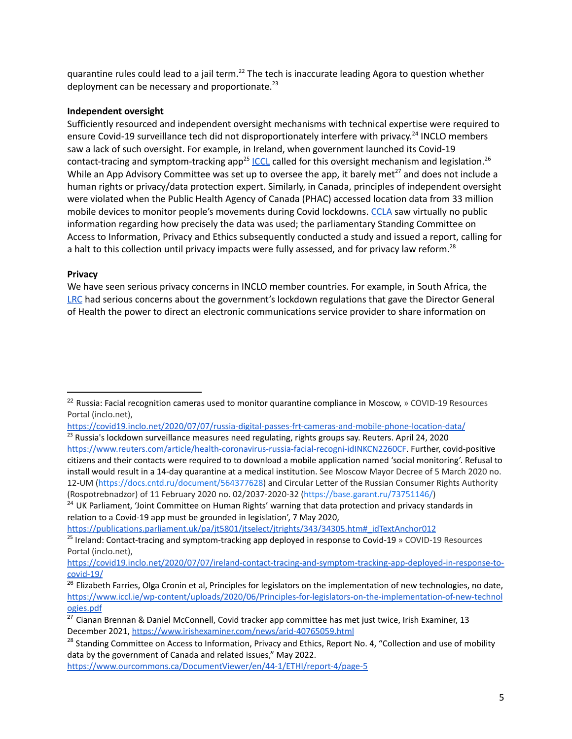quarantine rules could lead to a jail term.<sup>22</sup> The tech is inaccurate leading Agora to question whether deployment can be necessary and proportionate.<sup>23</sup>

## **Independent oversight**

Sufficiently resourced and independent oversight mechanisms with technical expertise were required to ensure Covid-19 surveillance tech did not disproportionately interfere with privacy.<sup>24</sup> INCLO members saw a lack of such oversight. For example, in Ireland, when government launched its Covid-19 contact-tracing and symptom-tracking app<sup>25</sup> [ICCL](https://www.iccl.ie/news/data-protection-experts-publish-human-rights-principles-for-contact-tracing-app/) called for this oversight mechanism and legislation.<sup>26</sup> While an App Advisory Committee was set up to oversee the app, it barely met<sup>27</sup> and does not include a human rights or privacy/data protection expert. Similarly, in Canada, principles of independent oversight were violated when the Public Health Agency of Canada (PHAC) accessed location data from 33 million mobile devices to monitor people's movements during Covid lockdowns. [CCLA](https://ccla.org/) saw virtually no public information regarding how precisely the data was used; the parliamentary Standing Committee on Access to Information, Privacy and Ethics subsequently conducted a study and issued a report, calling for a halt to this collection until privacy impacts were fully assessed, and for privacy law reform.<sup>28</sup>

## **Privacy**

We have seen serious privacy concerns in INCLO member countries. For example, in South Africa, the [LRC](http://www.lrc.org.za) had serious concerns about the government's lockdown regulations that gave the Director General of Health the power to direct an electronic communications service provider to share information on

[https://publications.parliament.uk/pa/jt5801/jtselect/jtrights/343/34305.htm#\\_idTextAnchor012](https://publications.parliament.uk/pa/jt5801/jtselect/jtrights/343/34305.htm#_idTextAnchor012)

 $22$  Russia: Facial recognition cameras used to monitor quarantine compliance in Moscow, » COVID-19 Resources Portal (inclo.net),

<https://covid19.inclo.net/2020/07/07/russia-digital-passes-frt-cameras-and-mobile-phone-location-data/>

<sup>&</sup>lt;sup>23</sup> Russia's lockdown surveillance measures need regulating, rights groups say. Reuters. April 24, 2020 <https://www.reuters.com/article/health-coronavirus-russia-facial-recogni-idINKCN2260CF>. Further, covid-positive citizens and their contacts were required to to download a mobile application named 'social monitoring'. Refusal to install would result in a 14-day quarantine at a medical institution. See Moscow Mayor Decree of 5 March 2020 no. 12-UM [\(https://docs.cntd.ru/document/564377628\)](https://docs.cntd.ru/document/564377628) and Circular Letter of the Russian Consumer Rights Authority (Rospotrebnadzor) of 11 February 2020 no. 02/2037-2020-32 [\(https://base.garant.ru/73751146/\)](https://base.garant.ru/73751146/)

<sup>&</sup>lt;sup>24</sup> UK Parliament, 'Joint Committee on Human Rights' warning that data protection and privacy standards in relation to a Covid-19 app must be grounded in legislation', 7 May 2020,

<sup>&</sup>lt;sup>25</sup> Ireland: Contact-tracing and symptom-tracking app deployed in response to Covid-19 » COVID-19 Resources Portal (inclo.net),

[https://covid19.inclo.net/2020/07/07/ireland-contact-tracing-and-symptom-tracking-app-deployed-in-response-to](https://covid19.inclo.net/2020/07/07/ireland-contact-tracing-and-symptom-tracking-app-deployed-in-response-to-covid-19/)[covid-19/](https://covid19.inclo.net/2020/07/07/ireland-contact-tracing-and-symptom-tracking-app-deployed-in-response-to-covid-19/)

<sup>&</sup>lt;sup>26</sup> Elizabeth Farries, Olga Cronin et al, Principles for legislators on the implementation of new technologies, no date, [https://www.iccl.ie/wp-content/uploads/2020/06/Principles-for-legislators-on-the-implementation-of-new-technol](https://www.iccl.ie/wp-content/uploads/2020/06/Principles-for-legislators-on-the-implementation-of-new-technologies.pdf) [ogies.pdf](https://www.iccl.ie/wp-content/uploads/2020/06/Principles-for-legislators-on-the-implementation-of-new-technologies.pdf)

<sup>&</sup>lt;sup>27</sup> Cianan Brennan & Daniel McConnell, Covid tracker app committee has met just twice, Irish Examiner, 13 December 2021, <https://www.irishexaminer.com/news/arid-40765059.html>

<sup>&</sup>lt;sup>28</sup> Standing Committee on Access to Information, Privacy and Ethics, Report No. 4, "Collection and use of mobility data by the government of Canada and related issues," May 2022.

<https://www.ourcommons.ca/DocumentViewer/en/44-1/ETHI/report-4/page-5>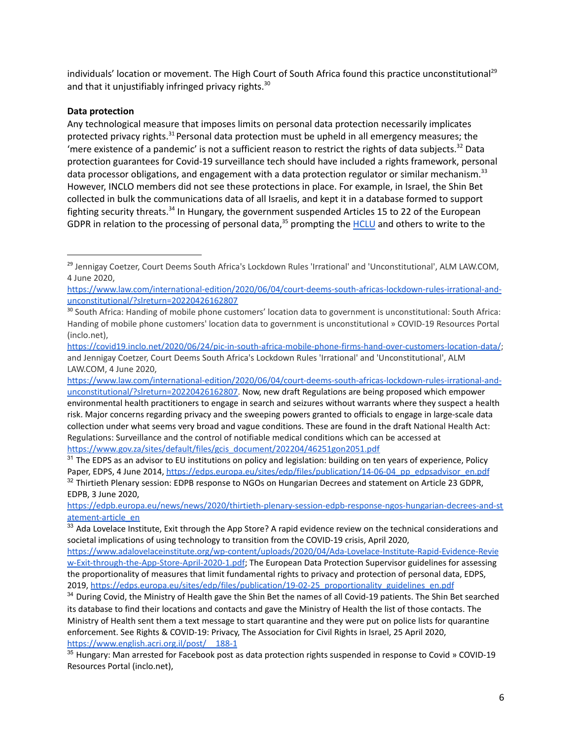individuals' location or movement. The High Court of South Africa found this practice unconstitutional<sup>29</sup> and that it unjustifiably infringed privacy rights.<sup>30</sup>

## **Data protection**

Any technological measure that imposes limits on personal data protection necessarily implicates protected privacy rights.<sup>31</sup> Personal data protection must be upheld in all emergency measures; the 'mere existence of a pandemic' is not a sufficient reason to restrict the rights of data subjects.<sup>32</sup> Data protection guarantees for Covid-19 surveillance tech should have included a rights framework, personal data processor obligations, and engagement with a data protection regulator or similar mechanism.<sup>33</sup> However, INCLO members did not see these protections in place. For example, in Israel, the Shin Bet collected in bulk the communications data of all Israelis, and kept it in a database formed to support fighting security threats.<sup>34</sup> In Hungary, the government suspended Articles 15 to 22 of the European GDPR in relation to the processing of personal data,<sup>35</sup> prompting the [HCLU](https://hclu.hu/en/) and others to write to the

[https://edpb.europa.eu/news/news/2020/thirtieth-plenary-session-edpb-response-ngos-hungarian-decrees-and-st](https://edpb.europa.eu/news/news/2020/thirtieth-plenary-session-edpb-response-ngos-hungarian-decrees-and-statement-article_en) [atement-article\\_en](https://edpb.europa.eu/news/news/2020/thirtieth-plenary-session-edpb-response-ngos-hungarian-decrees-and-statement-article_en)

<sup>&</sup>lt;sup>29</sup> Jennigay Coetzer, Court Deems South Africa's Lockdown Rules 'Irrational' and 'Unconstitutional', ALM LAW.COM, 4 June 2020,

[https://www.law.com/international-edition/2020/06/04/court-deems-south-africas-lockdown-rules-irrational-and](https://www.law.com/international-edition/2020/06/04/court-deems-south-africas-lockdown-rules-irrational-and-unconstitutional/?slreturn=20220426162807)[unconstitutional/?slreturn=20220426162807](https://www.law.com/international-edition/2020/06/04/court-deems-south-africas-lockdown-rules-irrational-and-unconstitutional/?slreturn=20220426162807)

<sup>&</sup>lt;sup>30</sup> South Africa: Handing of mobile phone customers' location data to government is [unconstitutional](https://covid19.inclo.net/2020/06/24/pic-in-south-africa-mobile-phone-firms-hand-over-customers-location-data/): South Africa: Handing of mobile phone customers' location data to government is unconstitutional » COVID-19 Resources Portal (inclo.net),

<https://covid19.inclo.net/2020/06/24/pic-in-south-africa-mobile-phone-firms-hand-over-customers-location-data/>; and Jennigay Coetzer, Court Deems South Africa's Lockdown Rules 'Irrational' and 'Unconstitutional', ALM LAW.COM, 4 June 2020,

[https://www.law.com/international-edition/2020/06/04/court-deems-south-africas-lockdown-rules-irrational-and](https://www.law.com/international-edition/2020/06/04/court-deems-south-africas-lockdown-rules-irrational-and-unconstitutional/?slreturn=20220426162807)[unconstitutional/?slreturn=20220426162807.](https://www.law.com/international-edition/2020/06/04/court-deems-south-africas-lockdown-rules-irrational-and-unconstitutional/?slreturn=20220426162807) Now, new draft Regulations are being proposed which empower environmental health practitioners to engage in search and seizures without warrants where they suspect a health risk. Major concerns regarding privacy and the sweeping powers granted to officials to engage in large-scale data collection under what seems very broad and vague conditions. These are found in the draft National Health Act: Regulations: Surveillance and the control of notifiable medical conditions which can be accessed at [https://www.gov.za/sites/default/files/gcis\\_document/202204/46251gon2051.pdf](https://www.gov.za/sites/default/files/gcis_document/202204/46251gon2051.pdf)

<sup>&</sup>lt;sup>32</sup> Thirtieth Plenary session: EDPB response to NGOs on Hungarian Decrees and statement on Article 23 GDPR, EDPB, 3 June 2020,  $31$  The EDPS as an advisor to EU institutions on policy and legislation: building on ten years of experience, Policy Paper, EDPS, 4 June 2014, [https://edps.europa.eu/sites/edp/files/publication/14-06-04\\_pp\\_edpsadvisor\\_en.pdf](https://edps.europa.eu/sites/edp/files/publication/14-06-04_pp_edpsadvisor_en.pdf)

<sup>33</sup> Ada Lovelace Institute, Exit through the App Store? A rapid evidence review on the technical considerations and societal implications of using technology to transition from the COVID-19 crisis, April 2020,

[https://www.adalovelaceinstitute.org/wp-content/uploads/2020/04/Ada-Lovelace-Institute-Rapid-Evidence-Revie](https://www.adalovelaceinstitute.org/wp-content/uploads/2020/04/Ada-Lovelace-Institute-Rapid-Evidence-Review-Exit-through-the-App-Store-April-2020-1.pdf) [w-Exit-through-the-App-Store-April-2020-1.pdf](https://www.adalovelaceinstitute.org/wp-content/uploads/2020/04/Ada-Lovelace-Institute-Rapid-Evidence-Review-Exit-through-the-App-Store-April-2020-1.pdf); The European Data Protection Supervisor guidelines for assessing the proportionality of measures that limit fundamental rights to privacy and protection of personal data, EDPS, 2019, [https://edps.europa.eu/sites/edp/files/publication/19-02-25\\_proportionality\\_guidelines\\_en.pdf](https://edps.europa.eu/sites/edp/files/publication/19-02-25_proportionality_guidelines_en.pdf)

<sup>&</sup>lt;sup>34</sup> During Covid, the Ministry of Health gave the Shin Bet the names of all Covid-19 patients. The Shin Bet searched its database to find their locations and contacts and gave the Ministry of Health the list of those contacts. The Ministry of Health sent them a text message to start quarantine and they were put on police lists for quarantine enforcement. See Rights & COVID-19: Privacy, The Association for Civil Rights in Israel, 25 April 2020, [https://www.english.acri.org.il/post/\\_\\_188-1](https://www.english.acri.org.il/post/__188-1)

<sup>&</sup>lt;sup>35</sup> Hungary: Man arrested for Facebook post as data protection rights suspended in response to Covid » COVID-19 Resources Portal (inclo.net),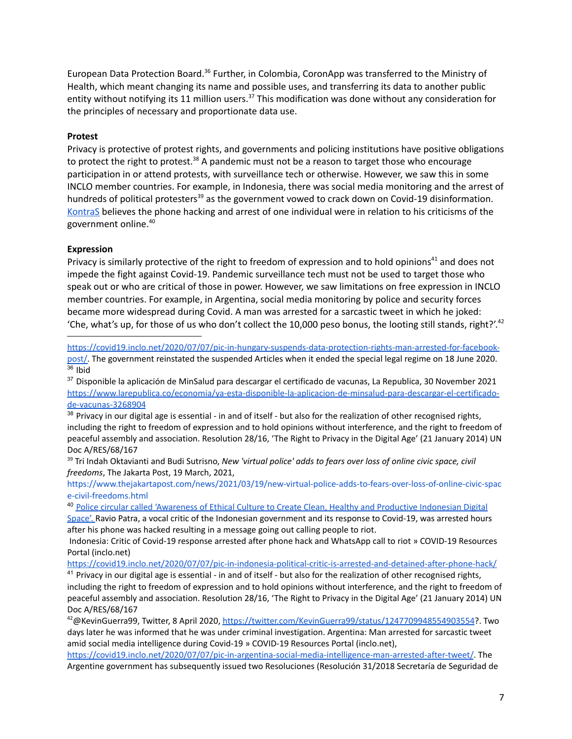European Data Protection Board.<sup>36</sup> Further, in Colombia, CoronApp was transferred to the Ministry of Health, which meant changing its name and possible uses, and transferring its data to another public entity without notifying its 11 million users.<sup>37</sup> This modification was done without any consideration for the principles of necessary and proportionate data use.

#### **Protest**

Privacy is protective of protest rights, and governments and policing institutions have positive obligations to protect the right to protest.<sup>38</sup> A pandemic must not be a reason to target those who encourage participation in or attend protests, with surveillance tech or otherwise. However, we saw this in some INCLO member countries. For example, in Indonesia, there was social media monitoring and the arrest of hundreds of political protesters<sup>39</sup> as the government vowed to crack down on Covid-19 disinformation. [KontraS](https://kontras.org/en/home-3/) believes the phone hacking and arrest of one individual were in relation to his criticisms of the government online. 40

#### **Expression**

Privacy is similarly protective of the right to freedom of expression and to hold opinions<sup>41</sup> and does not impede the fight against Covid-19. Pandemic surveillance tech must not be used to target those who speak out or who are critical of those in power. However, we saw limitations on free expression in INCLO member countries. For example, in Argentina, social media monitoring by police and security forces became more widespread during Covid. A man was arrested for a sarcastic tweet in which he joked: 'Che, what's up, for those of us who don't collect the 10,000 peso bonus, the looting still stands, right?'. $42$ 

 $36$  Ibid [https://covid19.inclo.net/2020/07/07/pic-in-hungary-suspends-data-protection-rights-man-arrested-for-facebook](https://covid19.inclo.net/2020/07/07/pic-in-hungary-suspends-data-protection-rights-man-arrested-for-facebook-post/)[post/.](https://covid19.inclo.net/2020/07/07/pic-in-hungary-suspends-data-protection-rights-man-arrested-for-facebook-post/) The government reinstated the suspended Articles when it ended the special legal regime on 18 June 2020.

<sup>37</sup> Disponible la aplicación de MinSalud para descargar el certificado de vacunas, La Republica, 30 November 2021 [https://www.larepublica.co/economia/ya-esta-disponible-la-aplicacion-de-minsalud-para-descargar-el-certificado](https://www.larepublica.co/economia/ya-esta-disponible-la-aplicacion-de-minsalud-para-descargar-el-certificado-de-vacunas-3268904)[de-vacunas-3268904](https://www.larepublica.co/economia/ya-esta-disponible-la-aplicacion-de-minsalud-para-descargar-el-certificado-de-vacunas-3268904)

 $38$  Privacy in our digital age is essential - in and of itself - but also for the realization of other recognised rights, including the right to freedom of expression and to hold opinions without interference, and the right to freedom of peaceful assembly and association. Resolution 28/16, 'The Right to Privacy in the Digital Age' (21 January 2014) UN Doc A/RES/68/167

<sup>39</sup> Tri Indah Oktavianti and Budi Sutrisno, *New 'virtual police' adds to fears over loss of online civic space, civil freedoms*, The Jakarta Post, 19 March, 2021,

[https://www.thejakartapost.com/news/2021/03/19/new-virtual-police-adds-to-fears-over-loss-of-online-civic-spac](https://www.thejakartapost.com/news/2021/03/19/new-virtual-police-adds-to-fears-over-loss-of-online-civic-space-civil-freedoms.html) [e-civil-freedoms.html](https://www.thejakartapost.com/news/2021/03/19/new-virtual-police-adds-to-fears-over-loss-of-online-civic-space-civil-freedoms.html)

<sup>40</sup> Police circular called ['Awareness](https://voi.id/en/news/34781/the-national-police-chief-issues-a-circular-on-ite-case-handling-this-is-a-legacy-guide-for-investigators) of Ethical Culture to Create Clean, Healthy and Productive Indonesian Digital [Space'.](https://voi.id/en/news/34781/the-national-police-chief-issues-a-circular-on-ite-case-handling-this-is-a-legacy-guide-for-investigators) Ravio Patra, a vocal critic of the Indonesian government and its response to Covid-19, was arrested hours after his phone was hacked resulting in a message going out calling people to riot.

Indonesia: Critic of Covid-19 response arrested after phone hack and WhatsApp call to riot » COVID-19 Resources Portal (inclo.net)

<https://covid19.inclo.net/2020/07/07/pic-in-indonesia-political-critic-is-arrested-and-detained-after-phone-hack/>

 $41$  Privacy in our digital age is essential - in and of itself - but also for the realization of other recognised rights, including the right to freedom of expression and to hold opinions without interference, and the right to freedom of peaceful assembly and association. Resolution 28/16, 'The Right to Privacy in the Digital Age' (21 January 2014) UN Doc A/RES/68/167

<sup>42</sup>@KevinGuerra99, Twitter, 8 April 2020, <https://twitter.com/KevinGuerra99/status/1247709948554903554>?. Two days later he was informed that he was under criminal investigation. Argentina: Man arrested for sarcastic tweet amid social media intelligence during Covid-19 » COVID-19 Resources Portal (inclo.net),

<https://covid19.inclo.net/2020/07/07/pic-in-argentina-social-media-intelligence-man-arrested-after-tweet/>. The Argentine government has subsequently issued two Resoluciones (Resolución 31/2018 Secretaría de Seguridad de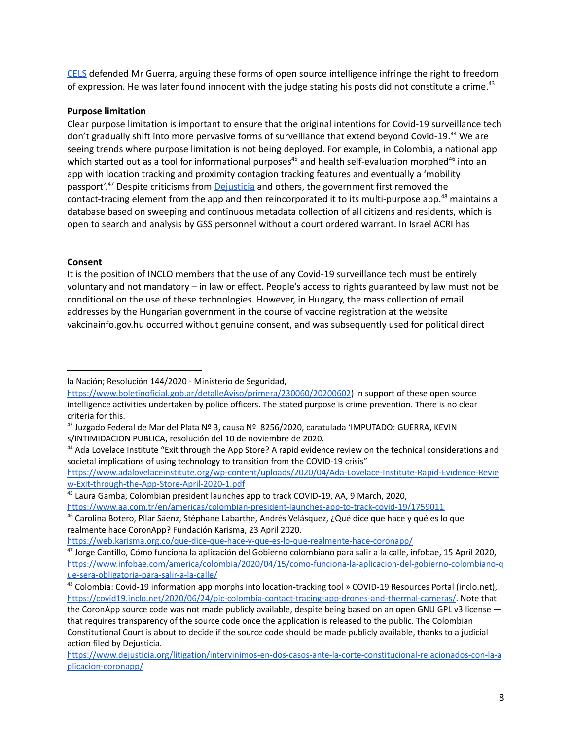[CELS](https://www.cels.org.ar/web/en/) defended Mr Guerra, arguing these forms of open source intelligence infringe the right to freedom of expression. He was later found innocent with the judge stating his posts did not constitute a crime.<sup>43</sup>

## **Purpose limitation**

Clear purpose limitation is important to ensure that the original intentions for Covid-19 surveillance tech don't gradually shift into more pervasive forms of surveillance that extend beyond Covid-19.<sup>44</sup> We are seeing trends where purpose limitation is not being deployed. For example, in Colombia, a national app which started out as a tool for informational purposes<sup>45</sup> and health self-evaluation morphed<sup>46</sup> into an app with location tracking and proximity contagion tracking features and eventually a 'mobility passport'.<sup>47</sup> Despite criticisms from **[Dejusticia](https://www.dejusticia.org/en/)** and others, the government first removed the contact-tracing element from the app and then reincorporated it to its multi-purpose app.<sup>48</sup> maintains a database based on sweeping and continuous metadata collection of all citizens and residents, which is open to search and analysis by GSS personnel without a court ordered warrant. In Israel ACRI has

## **Consent**

It is the position of INCLO members that the use of any Covid-19 surveillance tech must be entirely voluntary and not mandatory – in law or effect. People's access to rights guaranteed by law must not be conditional on the use of these technologies. However, in Hungary, the mass collection of email addresses by the Hungarian government in the course of vaccine registration at the website vakcinainfo.gov.hu occurred without genuine consent, and was subsequently used for political direct

<https://www.aa.com.tr/en/americas/colombian-president-launches-app-to-track-covid-19/1759011>

la Nación; Resolución 144/2020 - Ministerio de Seguridad,

https://www.boletinoficial.gob.ar/detalleAviso/primera/230060/20200602) in support of these open source intelligence activities undertaken by police officers. The stated purpose is crime prevention. There is no clear criteria for this.

 $^{43}$  Juzgado Federal de Mar del Plata Nº 3, causa Nº 8256/2020, caratulada 'IMPUTADO: GUERRA, KEVIN s/INTIMIDACION PUBLICA, resolución del 10 de noviembre de 2020.

<sup>&</sup>lt;sup>44</sup> Ada Lovelace Institute "Exit through the App Store? A rapid evidence review on the technical considerations and societal implications of using technology to transition from the COVID-19 crisis"

[https://www.adalovelaceinstitute.org/wp-content/uploads/2020/04/Ada-Lovelace-Institute-Rapid-Evidence-Revie](https://www.adalovelaceinstitute.org/wp-content/uploads/2020/04/Ada-Lovelace-Institute-Rapid-Evidence-Review-Exit-through-the-App-Store-April-2020-1.pdf) [w-Exit-through-the-App-Store-April-2020-1.pdf](https://www.adalovelaceinstitute.org/wp-content/uploads/2020/04/Ada-Lovelace-Institute-Rapid-Evidence-Review-Exit-through-the-App-Store-April-2020-1.pdf)

<sup>45</sup> Laura Gamba, Colombian president launches app to track COVID-19, AA, 9 March, 2020,

<sup>&</sup>lt;sup>46</sup> Carolina Botero, Pilar Sáenz, Stéphane Labarthe, Andrés Velásquez, ¿Qué dice que hace y qué es lo que realmente hace CoronApp? Fundación Karisma, 23 April 2020.

<https://web.karisma.org.co/que-dice-que-hace-y-que-es-lo-que-realmente-hace-coronapp/>

<sup>47</sup> Jorge Cantillo, Cómo funciona la aplicación del Gobierno colombiano para salir a la calle, infobae, 15 April 2020, [https://www.infobae.com/america/colombia/2020/04/15/como-funciona-la-aplicacion-del-gobierno-colombiano-q](https://www.infobae.com/america/colombia/2020/04/15/como-funciona-la-aplicacion-del-gobierno-colombiano-que-sera-obligatoria-para-salir-a-la-calle/) [ue-sera-obligatoria-para-salir-a-la-calle/](https://www.infobae.com/america/colombia/2020/04/15/como-funciona-la-aplicacion-del-gobierno-colombiano-que-sera-obligatoria-para-salir-a-la-calle/)

<sup>48</sup> Colombia: Covid-19 information app morphs into location-tracking tool » COVID-19 Resources Portal (inclo.net), <https://covid19.inclo.net/2020/06/24/pic-colombia-contact-tracing-app-drones-and-thermal-cameras/>. Note that the CoronApp source code was not made publicly available, despite being based on an open GNU GPL v3 license that requires transparency of the source code once the application is released to the public. The Colombian Constitutional Court is about to decide if the source code should be made publicly available, thanks to a judicial action filed by Dejusticia.

[https://www.dejusticia.org/litigation/intervinimos-en-dos-casos-ante-la-corte-constitucional-relacionados-con-la-a](https://www.dejusticia.org/litigation/intervinimos-en-dos-casos-ante-la-corte-constitucional-relacionados-con-la-aplicacion-coronapp/) [plicacion-coronapp/](https://www.dejusticia.org/litigation/intervinimos-en-dos-casos-ante-la-corte-constitucional-relacionados-con-la-aplicacion-coronapp/)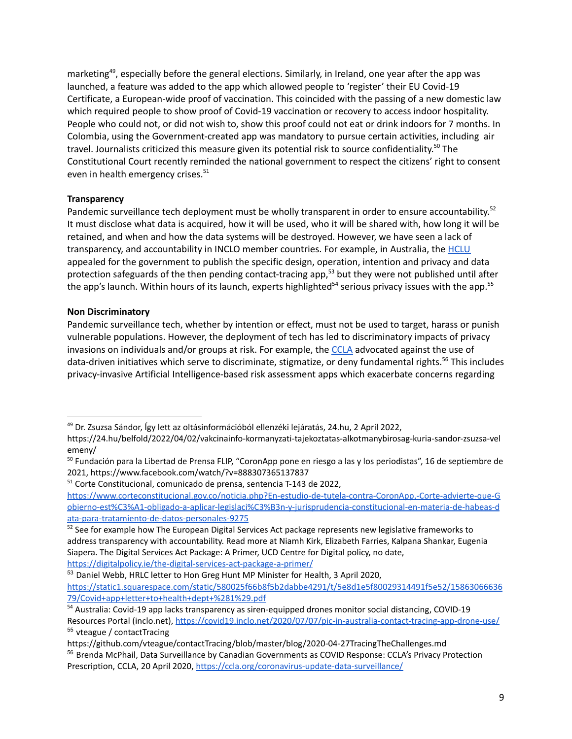marketing<sup>49</sup>, especially before the general elections. Similarly, in Ireland, one year after the app was launched, a feature was added to the app which allowed people to 'register' their EU Covid-19 Certificate, a European-wide proof of vaccination. This coincided with the passing of a new domestic law which required people to show proof of Covid-19 vaccination or recovery to access indoor hospitality. People who could not, or did not wish to, show this proof could not eat or drink indoors for 7 months. In Colombia, using the Government-created app was mandatory to pursue certain activities, including air travel. Journalists criticized this measure given its potential risk to source confidentiality. <sup>50</sup> The Constitutional Court recently reminded the national government to respect the citizens' right to consent even in health emergency crises. 51

## **Transparency**

Pandemic surveillance tech deployment must be wholly transparent in order to ensure accountability.<sup>52</sup> It must disclose what data is acquired, how it will be used, who it will be shared with, how long it will be retained, and when and how the data systems will be destroyed. However, we have seen a lack of transparency, and accountability in INCLO member countries. For example, in Australia, the **[HCLU](https://www.hrlc.org.au/)** appealed for the government to publish the specific design, operation, intention and privacy and data protection safeguards of the then pending contact-tracing app, <sup>53</sup> but they were not published until after the app's launch. Within hours of its launch, experts highlighted<sup>54</sup> serious privacy issues with the app.<sup>55</sup>

#### **Non Discriminatory**

Pandemic surveillance tech, whether by intention or effect, must not be used to target, harass or punish vulnerable populations. However, the deployment of tech has led to discriminatory impacts of privacy invasions on individuals and/or groups at risk. For example, the [CCLA](https://ccla.org/) advocated against the use of data-driven initiatives which serve to discriminate, stigmatize, or deny fundamental rights. <sup>56</sup> This includes privacy-invasive Artificial Intelligence-based risk assessment apps which exacerbate concerns regarding

<sup>&</sup>lt;sup>49</sup> Dr. Zsuzsa Sándor, Így lett az oltásinformációból ellenzéki lejáratás, 24.hu, 2 April 2022,

https://24.hu/belfold/2022/04/02/vakcinainfo-kormanyzati-tajekoztatas-alkotmanybirosag-kuria-sandor-zsuzsa-vel emeny/

<sup>50</sup> Fundación para la Libertad de Prensa FLIP, "CoronApp pone en riesgo a las y los periodistas", 16 de septiembre de 2021, https://www.facebook.com/watch/?v=888307365137837

<sup>51</sup> Corte Constitucional, comunicado de prensa, sentencia T-143 de 2022,

[https://www.corteconstitucional.gov.co/noticia.php?En-estudio-de-tutela-contra-CoronApp,-Corte-advierte-que-G](https://www.corteconstitucional.gov.co/noticia.php?En-estudio-de-tutela-contra-CoronApp,-Corte-advierte-que-Gobierno-est%C3%A1-obligado-a-aplicar-legislaci%C3%B3n-y-jurisprudencia-constitucional-en-materia-de-habeas-data-para-tratamiento-de-datos-personales-9275) [obierno-est%C3%A1-obligado-a-aplicar-legislaci%C3%B3n-y-jurisprudencia-constitucional-en-materia-de-habeas-d](https://www.corteconstitucional.gov.co/noticia.php?En-estudio-de-tutela-contra-CoronApp,-Corte-advierte-que-Gobierno-est%C3%A1-obligado-a-aplicar-legislaci%C3%B3n-y-jurisprudencia-constitucional-en-materia-de-habeas-data-para-tratamiento-de-datos-personales-9275) [ata-para-tratamiento-de-datos-personales-9275](https://www.corteconstitucional.gov.co/noticia.php?En-estudio-de-tutela-contra-CoronApp,-Corte-advierte-que-Gobierno-est%C3%A1-obligado-a-aplicar-legislaci%C3%B3n-y-jurisprudencia-constitucional-en-materia-de-habeas-data-para-tratamiento-de-datos-personales-9275)

<sup>&</sup>lt;sup>52</sup> See for example how The European Digital Services Act package represents new legislative frameworks to address transparency with accountability. Read more at Niamh Kirk, Elizabeth Farries, Kalpana Shankar, Eugenia Siapera. The Digital Services Act Package: A Primer, UCD Centre for Digital policy, no date, <https://digitalpolicy.ie/the-digital-services-act-package-a-primer/>

<sup>53</sup> Daniel Webb, HRLC letter to Hon Greg Hunt MP Minister for Health, 3 April 2020, [https://static1.squarespace.com/static/580025f66b8f5b2dabbe4291/t/5e8d1e5f80029314491f5e52/15863066636](https://static1.squarespace.com/static/580025f66b8f5b2dabbe4291/t/5e8d1e5f80029314491f5e52/1586306663679/Covid+app+letter+to+health+dept+%281%29.pdf) [79/Covid+app+letter+to+health+dept+%281%29.pdf](https://static1.squarespace.com/static/580025f66b8f5b2dabbe4291/t/5e8d1e5f80029314491f5e52/1586306663679/Covid+app+letter+to+health+dept+%281%29.pdf)

<sup>55</sup> vteague / contactTracing <sup>54</sup> Australia: Covid-19 app lacks transparency as siren-equipped drones monitor social distancing, COVID-19 Resources Portal (inclo.net), <https://covid19.inclo.net/2020/07/07/pic-in-australia-contact-tracing-app-drone-use/>

<sup>&</sup>lt;sup>56</sup> Brenda McPhail, Data Surveillance by Canadian Governments as COVID Response: CCLA's Privacy Protection Prescription, CCLA, 20 April 2020, <https://ccla.org/coronavirus-update-data-surveillance/> https://github.com/vteague/contactTracing/blob/master/blog/2020-04-27TracingTheChallenges.md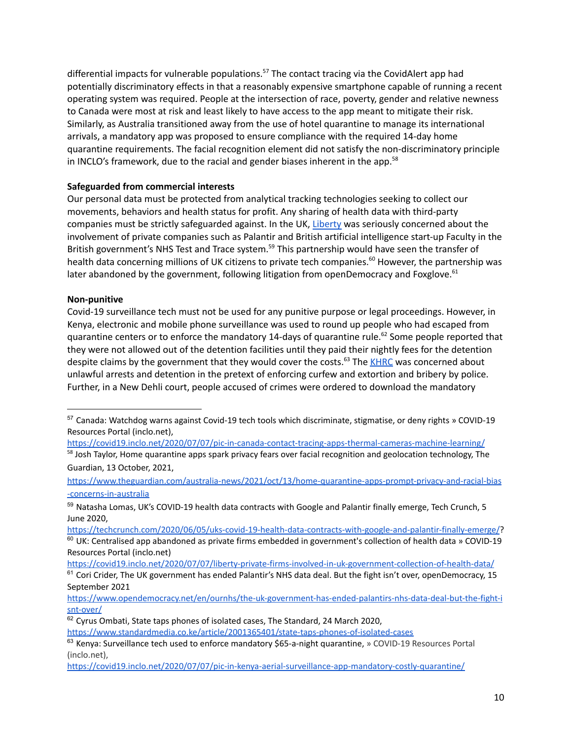differential impacts for vulnerable populations.<sup>57</sup> The contact tracing via the CovidAlert app had potentially discriminatory effects in that a reasonably expensive smartphone capable of running a recent operating system was required. People at the intersection of race, poverty, gender and relative newness to Canada were most at risk and least likely to have access to the app meant to mitigate their risk. Similarly, as Australia transitioned away from the use of hotel quarantine to manage its international arrivals, a mandatory app was proposed to ensure compliance with the required 14-day home quarantine requirements. The facial recognition element did not satisfy the non-discriminatory principle in INCLO's framework, due to the racial and gender biases inherent in the app. 58

## **Safeguarded from commercial interests**

Our personal data must be protected from analytical tracking technologies seeking to collect our movements, behaviors and health status for profit. Any sharing of health data with third-party companies must be strictly safeguarded against. In the UK, [Liberty](https://www.libertyhumanrights.org.uk/) was seriously concerned about the involvement of private companies such as Palantir and British artificial intelligence start-up Faculty in the British government's NHS Test and Trace system.<sup>59</sup> This partnership would have seen the transfer of health data concerning millions of UK citizens to private tech companies.<sup>60</sup> However, the partnership [was](https://covid19.inclo.net/2020/07/07/liberty-private-firms-involved-in-uk-government-collection-of-health-data/) later abandoned by the [government,](https://covid19.inclo.net/2020/07/07/liberty-private-firms-involved-in-uk-government-collection-of-health-data/) following litigation from openDemocracy and Foxglove.<sup>61</sup>

#### **Non-punitive**

Covid-19 surveillance tech must not be used for any punitive purpose or legal proceedings. However, in Kenya, electronic and mobile phone surveillance was used to round up people who had escaped from quarantine centers or to enforce the mandatory 14-days of quarantine rule.<sup>62</sup> Some people reported that they were not allowed out of the detention facilities until they paid their nightly fees for the detention despite claims by the government that they would cover the costs.<sup>63</sup> The [KHRC](https://www.khrc.or.ke/) was concerned about unlawful arrests and detention in the pretext of enforcing curfew and extortion and bribery by police. Further, in a New Dehli court, people accused of crimes were ordered to download the mandatory

<https://covid19.inclo.net/2020/07/07/pic-in-canada-contact-tracing-apps-thermal-cameras-machine-learning/>

<sup>58</sup> Josh Taylor, Home quarantine apps spark privacy fears over facial recognition and geolocation technology, The Guardian, 13 October, 2021,

[https://www.theguardian.com/australia-news/2021/oct/13/home-quarantine-apps-prompt-privacy-and-racial-bias](https://www.theguardian.com/australia-news/2021/oct/13/home-quarantine-apps-prompt-privacy-and-racial-bias-concerns-in-australia) [-concerns-in-australia](https://www.theguardian.com/australia-news/2021/oct/13/home-quarantine-apps-prompt-privacy-and-racial-bias-concerns-in-australia)

 $60$  UK: Centralised app abandoned as private firms embedded in government's collection of health data » COVID-19 Resources Portal (inclo.net) <https://techcrunch.com/2020/06/05/uks-covid-19-health-data-contracts-with-google-and-palantir-finally-emerge/>?

<https://covid19.inclo.net/2020/07/07/liberty-private-firms-involved-in-uk-government-collection-of-health-data/>

<sup>57</sup> Canada: Watchdog warns against Covid-19 tech tools which discriminate, stigmatise, or deny rights » COVID-19 Resources Portal (inclo.net),

<sup>59</sup> Natasha Lomas, UK's COVID-19 health data contracts with Google and Palantir finally emerge, Tech Crunch, 5 June 2020,

<sup>&</sup>lt;sup>61</sup> Cori Crider, The UK government has ended Palantir's NHS data deal. But the fight isn't over, openDemocracy, 15 September 2021

[https://www.opendemocracy.net/en/ournhs/the-uk-government-has-ended-palantirs-nhs-data-deal-but-the-fight-i](https://www.opendemocracy.net/en/ournhs/the-uk-government-has-ended-palantirs-nhs-data-deal-but-the-fight-isnt-over/) [snt-over/](https://www.opendemocracy.net/en/ournhs/the-uk-government-has-ended-palantirs-nhs-data-deal-but-the-fight-isnt-over/)

 $62$  Cyrus Ombati, State taps phones of isolated cases, The Standard, 24 March 2020,

<https://www.standardmedia.co.ke/article/2001365401/state-taps-phones-of-isolated-cases>

<sup>&</sup>lt;sup>63</sup> Kenya: Surveillance tech used to enforce mandatory \$65-a-night quarantine, » COVID-19 Resources Portal (inclo.net),

<https://covid19.inclo.net/2020/07/07/pic-in-kenya-aerial-surveillance-app-mandatory-costly-quarantine/>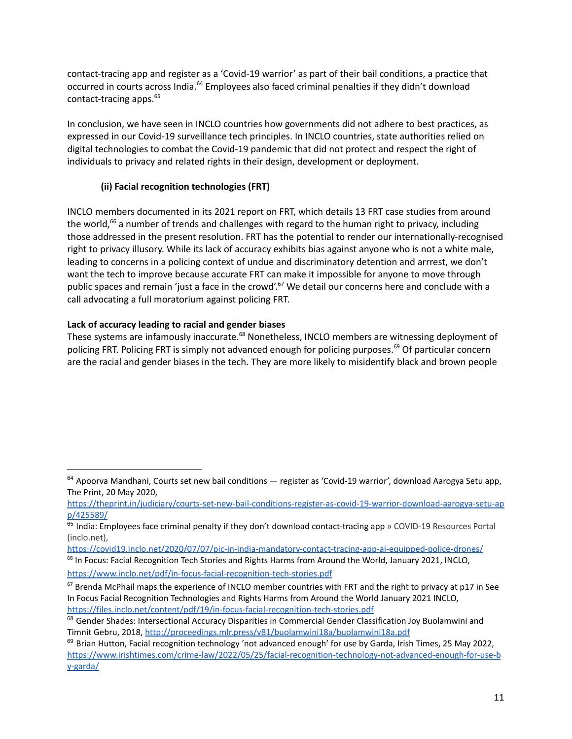contact-tracing app and register as a 'Covid-19 warrior' as part of their bail conditions, a practice that occurred in courts across India.<sup>64</sup> Employees also faced criminal penalties if they didn't download contact-tracing apps. 65

In conclusion, we have seen in INCLO countries how governments did not adhere to best practices, as expressed in our Covid-19 surveillance tech principles. In INCLO countries, state authorities relied on digital technologies to combat the Covid-19 pandemic that did not protect and respect the right of individuals to privacy and related rights in their design, development or deployment.

# **(ii) Facial recognition technologies (FRT)**

INCLO members documented in its 2021 report on FRT, which details 13 FRT case studies from around the world,<sup>66</sup> a number of trends and challenges with regard to the human right to privacy, including those addressed in the present resolution. FRT has the potential to render our internationally-recognised right to privacy illusory. While its lack of accuracy exhibits bias against anyone who is not a white male, leading to concerns in a policing context of undue and discriminatory detention and arrrest, we don't want the tech to improve because accurate FRT can make it impossible for anyone to move through public spaces and remain 'just a face in the crowd'.<sup>67</sup> We detail our concerns here and conclude with a call advocating a full moratorium against policing FRT.

## **Lack of accuracy leading to racial and gender biases**

These systems are infamously inaccurate.<sup>68</sup> Nonetheless, INCLO members are witnessing deployment of policing FRT. Policing FRT is simply not advanced enough for policing purposes. <sup>69</sup> Of particular concern are the racial and gender biases in the tech. They are more likely to misidentify black and brown people

<https://covid19.inclo.net/2020/07/07/pic-in-india-mandatory-contact-tracing-app-ai-equipped-police-drones/>

 $64$  Apoorva Mandhani, Courts set new bail conditions — register as 'Covid-19 warrior', download Aarogya Setu app, The Print, 20 May 2020,

[https://theprint.in/judiciary/courts-set-new-bail-conditions-register-as-covid-19-warrior-download-aarogya-setu-ap](https://theprint.in/judiciary/courts-set-new-bail-conditions-register-as-covid-19-warrior-download-aarogya-setu-app/425589/) [p/425589/](https://theprint.in/judiciary/courts-set-new-bail-conditions-register-as-covid-19-warrior-download-aarogya-setu-app/425589/)

<sup>&</sup>lt;sup>65</sup> India: Employees face criminal penalty if they don't download contact-tracing app » COVID-19 Resources Portal (inclo.net),

<sup>&</sup>lt;sup>66</sup> In Focus: Facial Recognition Tech Stories and Rights Harms from Around the World, January 2021, INCLO, <https://www.inclo.net/pdf/in-focus-facial-recognition-tech-stories.pdf>

<sup>&</sup>lt;sup>67</sup> Brenda McPhail maps the experience of INCLO member countries with FRT and the right to privacy at p17 in See In Focus Facial Recognition Technologies and Rights Harms from Around the World January 2021 INCLO, <https://files.inclo.net/content/pdf/19/in-focus-facial-recognition-tech-stories.pdf>

<sup>&</sup>lt;sup>68</sup> Gender Shades: Intersectional Accuracy Disparities in Commercial Gender Classification Joy Buolamwini and Timnit Gebru, 2018, <http://proceedings.mlr.press/v81/buolamwini18a/buolamwini18a.pdf>

 $69$  Brian Hutton, Facial recognition technology 'not advanced enough' for use by Garda, Irish Times, 25 May 2022, [https://www.irishtimes.com/crime-law/2022/05/25/facial-recognition-technology-not-advanced-enough-for-use-b](https://www.irishtimes.com/crime-law/2022/05/25/facial-recognition-technology-not-advanced-enough-for-use-by-garda/) [y-garda/](https://www.irishtimes.com/crime-law/2022/05/25/facial-recognition-technology-not-advanced-enough-for-use-by-garda/)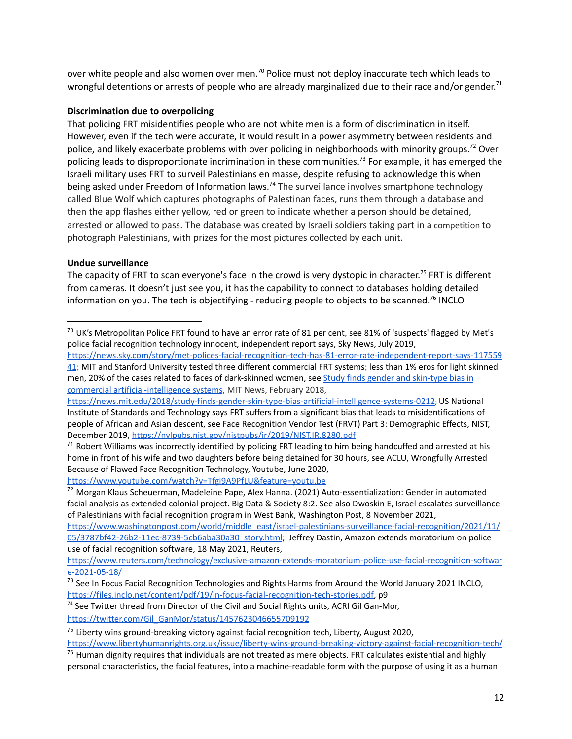over white people and also women over men.<sup>70</sup> Police must not deploy inaccurate tech which leads to wrongful detentions or arrests of people who are already marginalized due to their race and/or gender.<sup>71</sup>

#### **Discrimination due to overpolicing**

That policing FRT misidentifies people who are not white men is a form of discrimination in itself. However, even if the tech were accurate, it would result in a power asymmetry between residents and police, and likely exacerbate problems with over policing in neighborhoods with minority groups.<sup>72</sup> Over policing leads to disproportionate incrimination in these communities.<sup>73</sup> For example, it has emerged the Israeli military uses FRT to surveil Palestinians en masse, despite refusing to acknowledge this when being asked under Freedom of Information laws.<sup>74</sup> The surveillance involves smartphone technology called Blue Wolf which captures photographs of Palestinan faces, runs them through a database and then the app flashes either yellow, red or green to indicate whether a person should be detained, arrested or allowed to pass. The database was created by Israeli soldiers taking part in a competition to photograph Palestinians, with prizes for the most pictures collected by each unit.

## **Undue surveillance**

The capacity of FRT to scan everyone's face in the crowd is very dystopic in character.<sup>75</sup> FRT is different from cameras. It doesn't just see you, it has the capability to connect to databases holding detailed information on you. The tech is objectifying - reducing people to objects to be scanned.<sup>76</sup> INCLO

<https://www.youtube.com/watch?v=Tfgi9A9PfLU&feature=youtu.be>

<sup>72</sup> Morgan Klaus Scheuerman, Madeleine Pape, Alex Hanna. (2021) Auto-essentialization: Gender in automated facial analysis as extended colonial project. Big Data & Society 8:2. See also Dwoskin E, Israel escalates surveillance of Palestinians with facial recognition program in West Bank, Washington Post, 8 November 2021,

[https://www.washingtonpost.com/world/middle\\_east/israel-palestinians-surveillance-facial-recognition/2021/11/](https://www.washingtonpost.com/world/middle_east/israel-palestinians-surveillance-facial-recognition/2021/11/05/3787bf42-26b2-11ec-8739-5cb6aba30a30_story.html) [05/3787bf42-26b2-11ec-8739-5cb6aba30a30\\_story.html](https://www.washingtonpost.com/world/middle_east/israel-palestinians-surveillance-facial-recognition/2021/11/05/3787bf42-26b2-11ec-8739-5cb6aba30a30_story.html); Jeffrey Dastin, Amazon extends moratorium on police use of facial recognition software, 18 May 2021, Reuters,

[https://www.reuters.com/technology/exclusive-amazon-extends-moratorium-police-use-facial-recognition-softwar](https://www.reuters.com/technology/exclusive-amazon-extends-moratorium-police-use-facial-recognition-software-2021-05-18/) [e-2021-05-18/](https://www.reuters.com/technology/exclusive-amazon-extends-moratorium-police-use-facial-recognition-software-2021-05-18/)

<sup>74</sup> See Twitter thread from Director of the Civil and Social Rights units, ACRI Gil Gan-Mor,

[https://twitter.com/Gil\\_GanMor/status/1457623046655709192](https://twitter.com/Gil_GanMor/status/1457623046655709192)

 $^{70}$  UK's Metropolitan Police FRT found to have an error rate of 81 per cent, see 81% of 'suspects' flagged by Met's police facial recognition technology innocent, independent report says, Sky News, July 2019,

[https://news.sky.com/story/met-polices-facial-recognition-tech-has-81-error-rate-independent-report-says-117559](https://news.sky.com/story/met-polices-facial-recognition-tech-has-81-error-rate-independent-report-says-11755941) [41](https://news.sky.com/story/met-polices-facial-recognition-tech-has-81-error-rate-independent-report-says-11755941); MIT and Stanford University tested three different commercial FRT systems; less than 1% eros for light skinned men, 20% of the cases related to faces of dark-skinned women, see Study finds gender and [skin-type](https://news.mit.edu/2018/study-finds-gender-skin-type-bias-artificial-intelligence-systems-0212) bias in commercial [artificial-intelligence](https://news.mit.edu/2018/study-finds-gender-skin-type-bias-artificial-intelligence-systems-0212) systems, MIT News, February 2018,

<https://news.mit.edu/2018/study-finds-gender-skin-type-bias-artificial-intelligence-systems-0212>; US National Institute of Standards and Technology says FRT suffers from a significant bias that leads to misidentifications of people of African and Asian descent, see Face Recognition Vendor Test (FRVT) Part 3: Demographic Effects, NIST, December 2019, <https://nvlpubs.nist.gov/nistpubs/ir/2019/NIST.IR.8280.pdf>

<sup>&</sup>lt;sup>71</sup> Robert Williams was incorrectly identified by policing FRT leading to him being handcuffed and arrested at his home in front of his wife and two daughters before being detained for 30 hours, see ACLU, Wrongfully Arrested Because of Flawed Face Recognition Technology, Youtube, June 2020,

<sup>&</sup>lt;sup>73</sup> See In Focus Facial Recognition Technologies and Rights Harms from Around the World January 2021 INCLO, <https://files.inclo.net/content/pdf/19/in-focus-facial-recognition-tech-stories.pdf>, p9

 $75$  Liberty wins ground-breaking victory against facial recognition tech, Liberty, August 2020,

<https://www.libertyhumanrights.org.uk/issue/liberty-wins-ground-breaking-victory-against-facial-recognition-tech/>

 $76$  Human dignity requires that individuals are not treated as mere objects. FRT calculates existential and highly personal characteristics, the facial features, into a machine-readable form with the purpose of using it as a human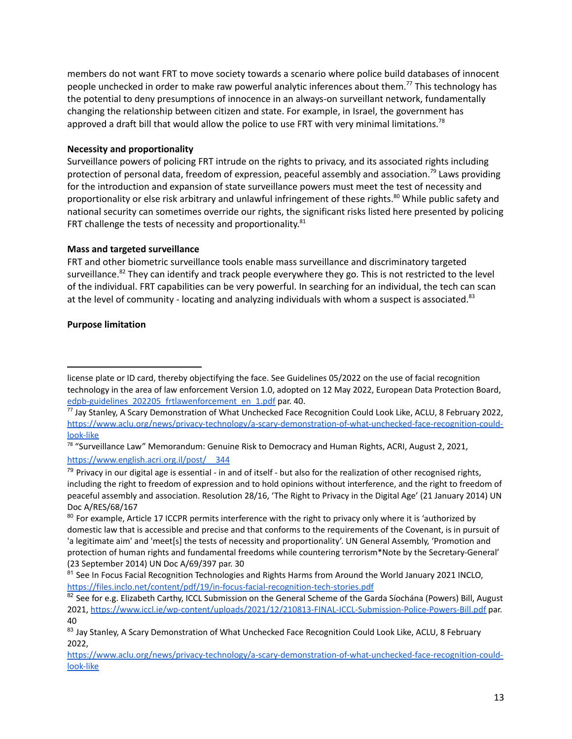members do not want FRT to move society towards a scenario where police build databases of innocent people unchecked in order to make raw powerful analytic inferences about them.<sup>77</sup> This technology has the potential to deny presumptions of innocence in an always-on surveillant network, fundamentally changing the relationship between citizen and state. For example, in Israel, the government has approved a draft bill that would allow the police to use FRT with very minimal limitations.<sup>78</sup>

## **Necessity and proportionality**

Surveillance powers of policing FRT intrude on the rights to privacy, and its associated rights including protection of personal data, freedom of expression, peaceful assembly and association.<sup>79</sup> Laws providing for the introduction and expansion of state surveillance powers must meet the test of necessity and proportionality or else risk arbitrary and unlawful infringement of these rights. <sup>80</sup> While public safety and national security can sometimes override our rights, the significant risks listed here presented by policing FRT challenge the tests of necessity and proportionality.<sup>81</sup>

## **Mass and targeted surveillance**

FRT and other biometric surveillance tools enable mass surveillance and discriminatory targeted surveillance.<sup>82</sup> They can identify and track people everywhere they go. This is not restricted to the level of the individual. FRT capabilities can be very powerful. In searching for an individual, the tech can scan at the level of community - locating and analyzing individuals with whom a suspect is associated.<sup>83</sup>

## **Purpose limitation**

license plate or ID card, thereby objectifying the face. See Guidelines 05/2022 on the use of facial recognition technology in the area of law enforcement Version 1.0, adopted on 12 May 2022, European Data Protection Board, [edpb-guidelines\\_202205\\_frtlawenforcement\\_en\\_1.pdf](http://edpb-guidelines_202205_frtlawenforcement_en_1.pdf) par. 40.

<sup>77</sup> Jay Stanley, A Scary Demonstration of What Unchecked Face Recognition Could Look Like, ACLU, 8 February 2022, [https://www.aclu.org/news/privacy-technology/a-scary-demonstration-of-what-unchecked-face-recognition-could](https://www.aclu.org/news/privacy-technology/a-scary-demonstration-of-what-unchecked-face-recognition-could-look-like)[look-like](https://www.aclu.org/news/privacy-technology/a-scary-demonstration-of-what-unchecked-face-recognition-could-look-like)

<sup>&</sup>lt;sup>78</sup> "Surveillance Law" Memorandum: Genuine Risk to Democracy and Human Rights, ACRI, August 2, 2021, [https://www.english.acri.org.il/post/\\_\\_344](https://www.english.acri.org.il/post/__344)

 $79$  Privacy in our digital age is essential - in and of itself - but also for the realization of other recognised rights, including the right to freedom of expression and to hold opinions without interference, and the right to freedom of peaceful assembly and association. Resolution 28/16, 'The Right to Privacy in the Digital Age' (21 January 2014) UN Doc A/RES/68/167

<sup>&</sup>lt;sup>80</sup> For example, Article 17 ICCPR permits interference with the right to privacy only where it is 'authorized by domestic law that is accessible and precise and that conforms to the requirements of the Covenant, is in pursuit of 'a legitimate aim' and 'meet[s] the tests of necessity and proportionality'. UN General Assembly, 'Promotion and protection of human rights and fundamental freedoms while countering terrorism\*Note by the Secretary-General' (23 September 2014) UN Doc A/69/397 par. 30

<sup>&</sup>lt;sup>81</sup> See In Focus Facial Recognition Technologies and Rights Harms from Around the World January 2021 INCLO, <https://files.inclo.net/content/pdf/19/in-focus-facial-recognition-tech-stories.pdf>

<sup>82</sup> See for e.g. Elizabeth Carthy, ICCL Submission on the General Scheme of the Garda Síochána (Powers) Bill, August 2021, <https://www.iccl.ie/wp-content/uploads/2021/12/210813-FINAL-ICCL-Submission-Police-Powers-Bill.pdf> par. 40

<sup>83</sup> Jay Stanley, A Scary Demonstration of What Unchecked Face Recognition Could Look Like, ACLU, 8 February 2022,

[https://www.aclu.org/news/privacy-technology/a-scary-demonstration-of-what-unchecked-face-recognition-could](https://www.aclu.org/news/privacy-technology/a-scary-demonstration-of-what-unchecked-face-recognition-could-look-like)[look-like](https://www.aclu.org/news/privacy-technology/a-scary-demonstration-of-what-unchecked-face-recognition-could-look-like)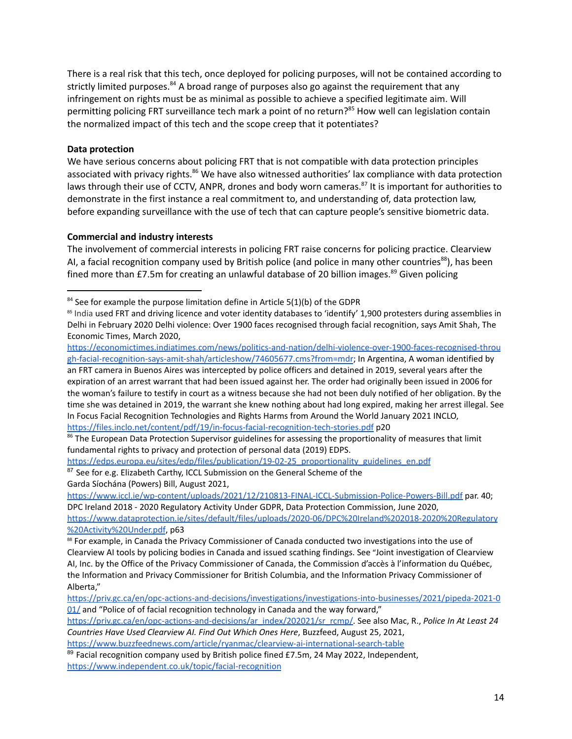There is a real risk that this tech, once deployed for policing purposes, will not be contained according to strictly limited purposes.<sup>84</sup> A broad range of purposes also go against the requirement that any infringement on rights must be as minimal as possible to achieve a specified legitimate aim. Will permitting policing FRT surveillance tech mark a point of no return? <sup>85</sup> How well can legislation contain the normalized impact of this tech and the scope creep that it potentiates?

## **Data protection**

We have serious concerns about policing FRT that is not compatible with data protection principles associated with privacy rights.<sup>86</sup> We have also witnessed authorities' lax compliance with data protection laws through their use of CCTV, ANPR, drones and body worn cameras.<sup>87</sup> It is important for authorities to demonstrate in the first instance a real commitment to, and understanding of, data protection law, before expanding surveillance with the use of tech that can capture people's sensitive biometric data.

## **Commercial and industry interests**

The involvement of commercial interests in policing FRT raise concerns for policing practice. Clearview AI, a facial recognition company used by British police (and police in many other countries<sup>88</sup>), has been fined more than £7.5m for creating an unlawful database of 20 billion images.<sup>89</sup> Given policing

[https://economictimes.indiatimes.com/news/politics-and-nation/delhi-violence-over-1900-faces-recognised-throu](https://economictimes.indiatimes.com/news/politics-and-nation/delhi-violence-over-1900-faces-recognised-through-facial-recognition-says-amit-shah/articleshow/74605677.cms?from=mdr) [gh-facial-recognition-says-amit-shah/articleshow/74605677.cms?from=mdr](https://economictimes.indiatimes.com/news/politics-and-nation/delhi-violence-over-1900-faces-recognised-through-facial-recognition-says-amit-shah/articleshow/74605677.cms?from=mdr); In Argentina, A woman identified by an FRT camera in Buenos Aires was intercepted by police officers and detained in 2019, several years after the expiration of an arrest warrant that had been issued against her. The order had originally been issued in 2006 for the woman's failure to testify in court as a witness because she had not been duly notified of her obligation. By the time she was detained in 2019, the warrant she knew nothing about had long expired, making her arrest illegal. See In Focus Facial Recognition Technologies and Rights Harms from Around the World January 2021 INCLO, <https://files.inclo.net/content/pdf/19/in-focus-facial-recognition-tech-stories.pdf> p20

<sup>87</sup> See for e.g. Elizabeth Carthy, ICCL Submission on the General Scheme of the Garda Síochána (Powers) Bill, August 2021, [https://edps.europa.eu/sites/edp/files/publication/19-02-25\\_proportionality\\_guidelines\\_en.pdf](https://edps.europa.eu/sites/edp/files/publication/19-02-25_proportionality_guidelines_en.pdf)

<https://www.iccl.ie/wp-content/uploads/2021/12/210813-FINAL-ICCL-Submission-Police-Powers-Bill.pdf> par. 40; DPC Ireland 2018 - 2020 Regulatory Activity Under GDPR, Data Protection Commission, June 2020, [https://www.dataprotection.ie/sites/default/files/uploads/2020-06/DPC%20Ireland%202018-2020%20Regulatory](https://www.dataprotection.ie/sites/default/files/uploads/2020-06/DPC%20Ireland%202018-2020%20Regulatory%20Activity%20Under.pdf) [%20Activity%20Under.pdf](https://www.dataprotection.ie/sites/default/files/uploads/2020-06/DPC%20Ireland%202018-2020%20Regulatory%20Activity%20Under.pdf), p63

 $84$  See for example the purpose limitation define in Article 5(1)(b) of the GDPR

<sup>&</sup>lt;sup>85</sup> India used FRT and driving licence and voter identity databases to 'identify' 1,900 protesters during assemblies in Delhi in February 2020 Delhi violence: Over 1900 faces recognised through facial recognition, says Amit Shah, The Economic Times, March 2020,

<sup>&</sup>lt;sup>86</sup> The European Data Protection Supervisor guidelines for assessing the proportionality of measures that limit fundamental rights to privacy and protection of personal data (2019) EDPS.

<sup>88</sup> For example, in Canada the Privacy Commissioner of Canada conducted two investigations into the use of Clearview AI tools by policing bodies in Canada and issued scathing findings. See "Joint investigation of Clearview AI, Inc. by the Office of the Privacy Commissioner of Canada, the Commission d'accès à l'information du Québec, the Information and Privacy Commissioner for British Columbia, and the Information Privacy Commissioner of Alberta,"

[https://priv.gc.ca/en/opc-actions-and-decisions/investigations/investigations-into-businesses/2021/pipeda-2021-0](https://priv.gc.ca/en/opc-actions-and-decisions/investigations/investigations-into-businesses/2021/pipeda-2021-001/) [01/](https://priv.gc.ca/en/opc-actions-and-decisions/investigations/investigations-into-businesses/2021/pipeda-2021-001/) and "Police of of facial recognition technology in Canada and the way forward,"

[https://priv.gc.ca/en/opc-actions-and-decisions/ar\\_index/202021/sr\\_rcmp/](https://priv.gc.ca/en/opc-actions-and-decisions/ar_index/202021/sr_rcmp/). See also Mac, R., *Police In At Least 24 Countries Have Used Clearview AI. Find Out Which Ones Here*, Buzzfeed, August 25, 2021,

<https://www.buzzfeednews.com/article/ryanmac/clearview-ai-international-search-table>

 $89$  Facial recognition company used by British police fined £7.5m, 24 May 2022, Independent, <https://www.independent.co.uk/topic/facial-recognition>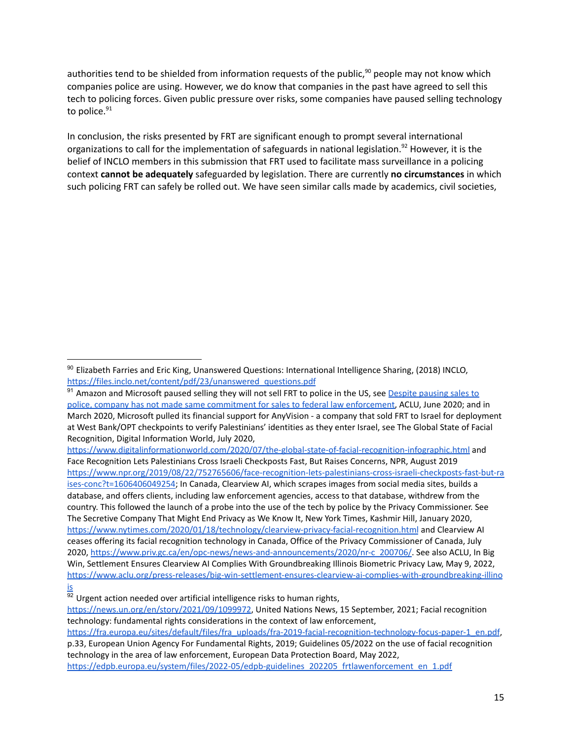authorities tend to be shielded from information requests of the public,<sup>90</sup> people may not know which companies police are using. However, we do know that companies in the past have agreed to sell this tech to policing forces. Given public pressure over risks, some companies have paused selling technology to police.<sup>91</sup>

In conclusion, the risks presented by FRT are significant enough to prompt several international organizations to call for the implementation of safeguards in national legislation.<sup>92</sup> However, it is the belief of INCLO members in this submission that FRT used to facilitate mass surveillance in a policing context **cannot be adequately** safeguarded by legislation. There are currently **no circumstances** in which such policing FRT can safely be rolled out. We have seen similar calls made by academics, civil societies,

<https://www.digitalinformationworld.com/2020/07/the-global-state-of-facial-recognition-infographic.html> and Face Recognition Lets Palestinians Cross Israeli Checkposts Fast, But Raises Concerns, NPR, August 2019 [https://www.npr.org/2019/08/22/752765606/face-recognition-lets-palestinians-cross-israeli-checkposts-fast-but-ra](https://www.npr.org/2019/08/22/752765606/face-recognition-lets-palestinians-cross-israeli-checkposts-fast-but-raises-conc?t=1606406049254) [ises-conc?t=1606406049254;](https://www.npr.org/2019/08/22/752765606/face-recognition-lets-palestinians-cross-israeli-checkposts-fast-but-raises-conc?t=1606406049254) In Canada, Clearview AI, which scrapes images from social media sites, builds a database, and offers clients, including law enforcement agencies, access to that database, withdrew from the country. This followed the launch of a probe into the use of the tech by police by the Privacy Commissioner. See The Secretive Company That Might End Privacy as We Know It, New York Times, Kashmir Hill, January 2020, <https://www.nytimes.com/2020/01/18/technology/clearview-privacy-facial-recognition.html> and Clearview AI ceases offering its facial recognition technology in Canada, Office of the Privacy Commissioner of Canada, July 2020, [https://www.priv.gc.ca/en/opc-news/news-and-announcements/2020/nr-c\\_200706/.](https://www.priv.gc.ca/en/opc-news/news-and-announcements/2020/nr-c_200706/) See also ACLU, In Big Win, Settlement Ensures Clearview AI Complies With Groundbreaking Illinois Biometric Privacy Law, May 9, 2022, [https://www.aclu.org/press-releases/big-win-settlement-ensures-clearview-ai-complies-with-groundbreaking-illino](https://www.aclu.org/press-releases/big-win-settlement-ensures-clearview-ai-complies-with-groundbreaking-illinois) [is](https://www.aclu.org/press-releases/big-win-settlement-ensures-clearview-ai-complies-with-groundbreaking-illinois)

<sup>90</sup> Elizabeth Farries and Eric King, Unanswered Questions: International Intelligence Sharing, (2018) INCLO, [https://files.inclo.net/content/pdf/23/unanswered\\_questions.pdf](https://files.inclo.net/content/pdf/23/unanswered_questions.pdf)

<sup>91</sup> Amazon and Microsoft paused selling they will not sell FRT to police in the US, see Despite [pausing](https://www.aclu.org/press-releases/emails-show-microsoft-tried-sell-face-recognition-system-federal-law-enforcement) sales to police, company has not made same commitment for sales to federal law [enforcement,](https://www.aclu.org/press-releases/emails-show-microsoft-tried-sell-face-recognition-system-federal-law-enforcement) ACLU, June 2020; and in March 2020, Microsoft pulled its financial support for AnyVision - a company that sold FRT to Israel for deployment at West Bank/OPT checkpoints to verify Palestinians' identities as they enter Israel, see The Global State of Facial Recognition, Digital Information World, July 2020,

 $\frac{92}{92}$  Urgent action needed over artificial intelligence risks to human rights,

[https://news.un.org/en/story/2021/09/1099972,](https://news.un.org/en/story/2021/09/1099972) United Nations News, 15 September, 2021; Facial recognition technology: fundamental rights considerations in the context of law enforcement,

[https://fra.europa.eu/sites/default/files/fra\\_uploads/fra-2019-facial-recognition-technology-focus-paper-1\\_en.pdf](https://fra.europa.eu/sites/default/files/fra_uploads/fra-2019-facial-recognition-technology-focus-paper-1_en.pdf), p.33, European Union Agency For Fundamental Rights, 2019; Guidelines 05/2022 on the use of facial recognition technology in the area of law enforcement, European Data Protection Board, May 2022, [https://edpb.europa.eu/system/files/2022-05/edpb-guidelines\\_202205\\_frtlawenforcement\\_en\\_1.pdf](https://edpb.europa.eu/system/files/2022-05/edpb-guidelines_202205_frtlawenforcement_en_1.pdf)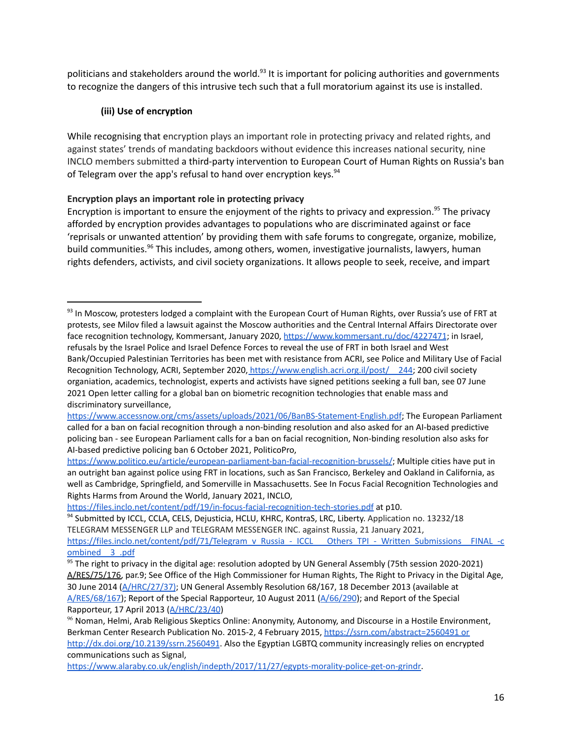politicians and stakeholders around the world.<sup>93</sup> It is important for policing authorities and governments to recognize the dangers of this intrusive tech such that a full moratorium against its use is installed.

# **(iii) Use of encryption**

While recognising that encryption plays an important role in protecting privacy and related rights, and against states' trends of mandating backdoors without evidence this increases national security, nine INCLO members submitted a third-party intervention to European Court of Human Rights on Russia's ban of Telegram over the app's refusal to hand over encryption keys.<sup>94</sup>

# **Encryption plays an important role in protecting privacy**

Encryption is important to ensure the enjoyment of the rights to privacy and expression. <sup>95</sup> The privacy afforded by encryption provides advantages to populations who are discriminated against or face 'reprisals or unwanted attention' by providing them with safe forums to congregate, organize, mobilize, build communities.<sup>96</sup> This includes, among others, women, investigative journalists, lawyers, human rights defenders, activists, and civil society organizations. It allows people to seek, receive, and impart

<sup>&</sup>lt;sup>93</sup> In Moscow, protesters lodged a complaint with the European Court of Human Rights, over Russia's use of FRT at protests, see Milov filed a lawsuit against the Moscow authorities and the Central Internal Affairs Directorate over face recognition technology, Kommersant, January 2020, <https://www.kommersant.ru/doc/4227471>; in Israel, refusals by the Israel Police and Israel Defence Forces to reveal the use of FRT in both Israel and West Bank/Occupied Palestinian Territories has been met with resistance from ACRI, see Police and Military Use of Facial Recognition Technology, ACRI, September 2020, https://www.english.acri.org.il/post/ 244; 200 civil society organiation, academics, technologist, experts and activists have signed petitions seeking a full ban, see 07 June 2021 Open letter calling for a global ban on biometric recognition technologies that enable mass and discriminatory surveillance,

<https://www.accessnow.org/cms/assets/uploads/2021/06/BanBS-Statement-English.pdf>; The European Parliament called for a ban on facial recognition through a non-binding resolution and also asked for an AI-based predictive policing ban - see European Parliament calls for a ban on facial recognition, Non-binding resolution also asks for AI-based predictive policing ban 6 October 2021, PoliticoPro,

<https://www.politico.eu/article/european-parliament-ban-facial-recognition-brussels/>; Multiple cities have put in an outright ban against police using FRT in locations, such as San Francisco, Berkeley and Oakland in California, as well as Cambridge, Springfield, and Somerville in Massachusetts. See In Focus Facial Recognition Technologies and Rights Harms from Around the World, January 2021, INCLO,

<https://files.inclo.net/content/pdf/19/in-focus-facial-recognition-tech-stories.pdf> at p10.

<sup>94</sup> Submitted by ICCL, CCLA, CELS, Dejusticia, HCLU, KHRC, KontraS, LRC, Liberty. Application no. 13232/18 TELEGRAM MESSENGER LLP and TELEGRAM MESSENGER INC. against Russia, 21 January 2021, [https://files.inclo.net/content/pdf/71/Telegram\\_v\\_Russia\\_-\\_ICCL\\_\\_\\_Others\\_TPI\\_-\\_Written\\_Submissions\\_\\_FINAL\\_-c](https://files.inclo.net/content/pdf/71/Telegram_v_Russia_-_ICCL___Others_TPI_-_Written_Submissions__FINAL_-combined__3_.pdf)

[ombined\\_\\_3\\_.pdf](https://files.inclo.net/content/pdf/71/Telegram_v_Russia_-_ICCL___Others_TPI_-_Written_Submissions__FINAL_-combined__3_.pdf)

 $95$  The right to privacy in the digital age: resolution adopted by UN General Assembly (75th session 2020-2021) [A/RES/75/176,](https://digitallibrary.un.org/record/3896430?ln=en) par.9; See Office of the High Commissioner for Human Rights, The Right to Privacy in the Digital Age, 30 June 2014 ([A/HRC/27/37\)](https://www.ohchr.org/EN/HRBodies/HRC/RegularSessions/Session27/Documents/A.HRC.27.37_en.pdf); UN General Assembly Resolution 68/167, 18 December 2013 (available at [A/RES/68/167\)](https://www.ohchr.org/EN/Issues/DigitalAge/Pages/DigitalAgeIndex.aspx); Report of the Special Rapporteur, 10 August 2011 [\(A/66/290\)](https://www.ohchr.org/Documents/Issues/Opinion/A.66.290.pdf); and Report of the Special Rapporteur, 17 April 2013 ([A/HRC/23/40](https://www.ohchr.org/Documents/HRBodies/HRCouncil/RegularSession/Session23/A.HRC.23.40_EN.pdf))

<sup>&</sup>lt;sup>96</sup> Noman, Helmi, Arab Religious Skeptics Online: Anonymity, Autonomy, and Discourse in a Hostile Environment, Berkman Center Research Publication No. 2015-2, 4 February 2015, <https://ssrn.com/abstract=2560491> or [http://dx.doi.org/10.2139/ssrn.2560491](https://ssrn.com/abstract=2560491)</u>. Also the Egyptian LGBTQ community increasingly relies on encrypted communications such as Signal,

[https://www.alaraby.co.uk/english/indepth/2017/11/27/egypts-morality-police-get-on-grindr.](https://www.alaraby.co.uk/english/indepth/2017/11/27/egypts-morality-police-get-on-grindr)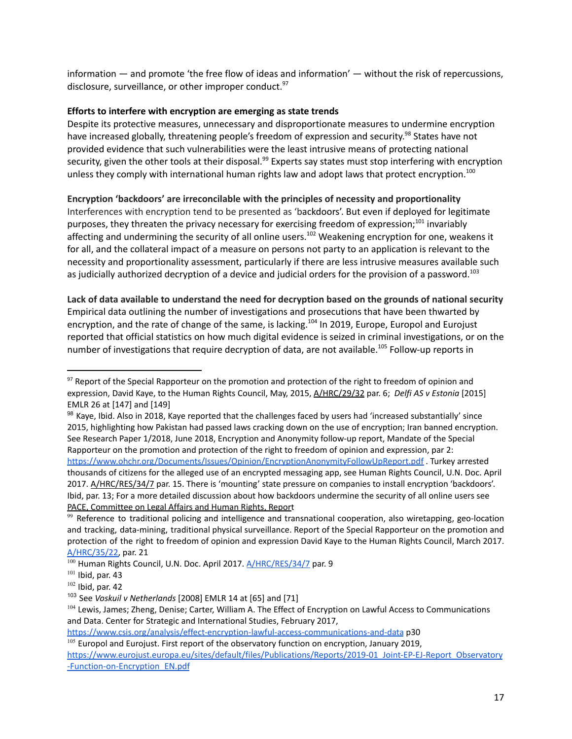information — and promote 'the free flow of ideas and information' — without the risk of repercussions, disclosure, surveillance, or other improper conduct.<sup>97</sup>

## **Efforts to interfere with encryption are emerging as state trends**

Despite its protective measures, unnecessary and disproportionate measures to undermine encryption have increased globally, threatening people's freedom of expression and security.<sup>98</sup> States have not provided evidence that such vulnerabilities were the least intrusive means of protecting national security, given the other tools at their disposal.<sup>99</sup> Experts say states must stop interfering with encryption unless they comply with international human rights law and adopt laws that protect encryption.<sup>100</sup>

**Encryption 'backdoors' are irreconcilable with the principles of necessity and proportionality**

Interferences with encryption tend to be presented as 'backdoors'. But even if deployed for legitimate purposes, they threaten the privacy necessary for exercising freedom of expression;<sup>101</sup> invariably affecting and undermining the security of all online users.<sup>102</sup> Weakening encryption for one, weakens it for all, and the collateral impact of a measure on persons not party to an application is relevant to the necessity and proportionality assessment, particularly if there are less intrusive measures available such as judicially authorized decryption of a device and judicial orders for the provision of a password.<sup>103</sup>

**Lack of data available to understand the need for decryption based on the grounds of national security** Empirical data outlining the number of investigations and prosecutions that have been thwarted by encryption, and the rate of change of the same, is lacking.<sup>104</sup> In 2019, Europe, Europol and Eurojust reported that official statistics on how much digital evidence is seized in criminal investigations, or on the number of investigations that require decryption of data, are not available.<sup>105</sup> Follow-up reports in

<sup>&</sup>lt;sup>97</sup> Report of the Special Rapporteur on the promotion and protection of the right to freedom of opinion and expression, David Kaye, to the Human Rights Council, May, 2015, [A/HRC/29/32](https://ap.ohchr.org/documents/dpage_e.aspx?si=A/HRC/29/32) par. 6; *Delfi AS v Estonia* [2015] EMLR 26 at [147] and [149]

<sup>98</sup> Kaye, Ibid. Also in 2018, Kaye reported that the challenges faced by users had 'increased substantially' since 2015, highlighting how Pakistan had passed laws cracking down on the use of encryption; Iran banned encryption. See Research Paper 1/2018, June 2018, Encryption and Anonymity follow-up report, Mandate of the Special Rapporteur on the promotion and protection of the right to freedom of opinion and expression, par 2: <https://www.ohchr.org/Documents/Issues/Opinion/EncryptionAnonymityFollowUpReport.pdf> . Turkey arrested thousands of citizens for the alleged use of an encrypted messaging app, see Human Rights Council, U.N. Doc. April 2017. [A/HRC/RES/34/7](https://ap.ohchr.org/documents/dpage_e.aspx?si=A/HRC/RES/34/7) par. 15. There is 'mounting' state pressure on companies to install encryption 'backdoors'. Ibid, par. 13; For a more detailed discussion about how backdoors undermine the security of all online users see PACE, [Committee](https://assembly.coe.int/nw/xml/XRef/Xref-XML2HTML-en.asp?fileid=21583&lang=en) on Legal Affairs and Human Rights, Report

 $99$  Reference to traditional policing and intelligence and transnational cooperation, also wiretapping, geo-location and tracking, data-mining, traditional physical surveillance. Report of the Special Rapporteur on the promotion and protection of the right to freedom of opinion and expression David Kaye to the Human Rights Council, March 2017. [A/HRC/35/22,](https://documents-dds-ny.un.org/doc/UNDOC/GEN/G17/077/46/PDF/G1707746.pdf?OpenElement) par. 21

<sup>&</sup>lt;sup>100</sup> Human Rights Council, U.N. Doc. April 2017. **[A/HRC/RES/34/7](https://ap.ohchr.org/documents/dpage_e.aspx?si=A/HRC/RES/34/7)** par. 9

 $101$  Ibid, par. 43

 $102$  Ibid, par. 42

<sup>103</sup> See *Voskuil v Netherlands* [2008] EMLR 14 at [65] and [71]

<sup>&</sup>lt;sup>104</sup> Lewis, James; Zheng, Denise; Carter, William A. The Effect of Encryption on Lawful Access to Communications and Data. Center for Strategic and International Studies, February 2017,

<https://www.csis.org/analysis/effect-encryption-lawful-access-communications-and-data> p30

 $105$  Europol and Eurojust. First report of the observatory function on encryption, January 2019,

[https://www.eurojust.europa.eu/sites/default/files/Publications/Reports/2019-01\\_Joint-EP-EJ-Report\\_Observatory](https://www.eurojust.europa.eu/sites/default/files/Publications/Reports/2019-01_Joint-EP-EJ-Report_Observatory-Function-on-Encryption_EN.pdf) [-Function-on-Encryption\\_EN.pdf](https://www.eurojust.europa.eu/sites/default/files/Publications/Reports/2019-01_Joint-EP-EJ-Report_Observatory-Function-on-Encryption_EN.pdf)